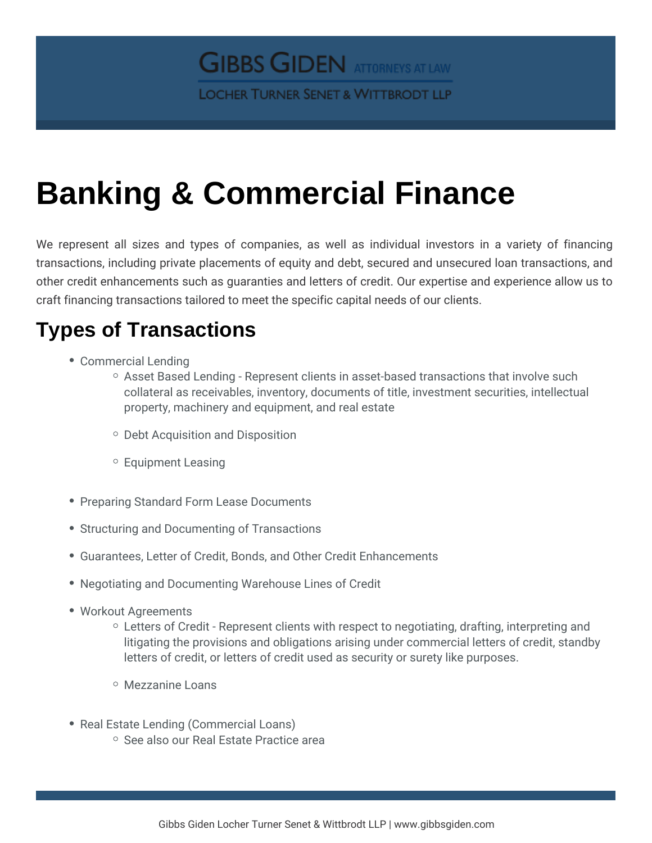## Banking & Commercial Finance

We represent all sizes and types of companies, as well as individ transactions, including private placements of equity and debt, secured other credit enhancements such as guaranties and letters of credit. Our craft financing transactions tailored to meet the specific capital needs o

## Types of Transactions

- Commercial Lending
	- $\circ$  Asset Based Lending Represent clients in asset-based trans collateral as receivables, inventory, documents of title, inves property, machinery and equipment, and real estate
	- Debt Acquisition and Disposition
	- Equipment Leasing
- Preparing Standard Form Lease Documents
- **Structuring and Documenting of Transactions**
- **Guarantees, Letter of Credit, Bonds, and Other Credit Enhancemen**
- Negotiating and Documenting Warehouse Lines of Credit
- Workout Agreements
	- $\circ$  Letters of Credit Represent clients with respect to negotiati litigating the provisions and obligations arising under commer letters of credit, or letters of credit used as security or suret
	- Mezzanine Loans
- Real Estate Lending (Commercial Loans)  $\circ$  See also Real Estate Practice area